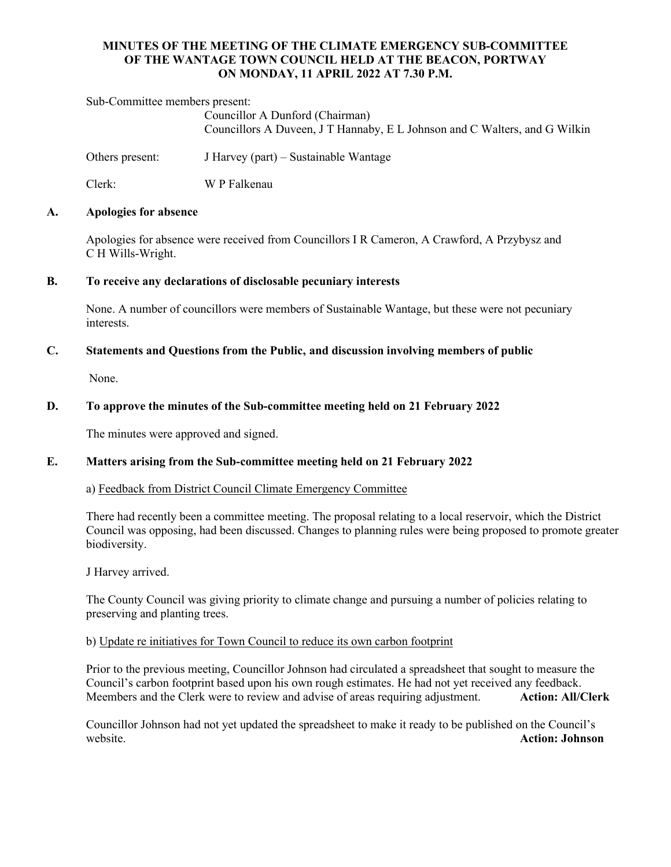# **MINUTES OF THE MEETING OF THE CLIMATE EMERGENCY SUB-COMMITTEE OF THE WANTAGE TOWN COUNCIL HELD AT THE BEACON, PORTWAY ON MONDAY, 11 APRIL 2022 AT 7.30 P.M.**

Sub-Committee members present:

Councillor A Dunford (Chairman) Councillors A Duveen, J T Hannaby, E L Johnson and C Walters, and G Wilkin

Others present: J Harvey (part) – Sustainable Wantage

Clerk: W P Falkenau

### **A. Apologies for absence**

Apologies for absence were received from Councillors I R Cameron, A Crawford, A Przybysz and C H Wills-Wright.

### **B. To receive any declarations of disclosable pecuniary interests**

None. A number of councillors were members of Sustainable Wantage, but these were not pecuniary interests.

## **C. Statements and Questions from the Public, and discussion involving members of public**

None.

# **D. To approve the minutes of the Sub-committee meeting held on 21 February 2022**

The minutes were approved and signed.

## **E. Matters arising from the Sub-committee meeting held on 21 February 2022**

#### a) Feedback from District Council Climate Emergency Committee

There had recently been a committee meeting. The proposal relating to a local reservoir, which the District Council was opposing, had been discussed. Changes to planning rules were being proposed to promote greater biodiversity.

J Harvey arrived.

The County Council was giving priority to climate change and pursuing a number of policies relating to preserving and planting trees.

### b) Update re initiatives for Town Council to reduce its own carbon footprint

Prior to the previous meeting, Councillor Johnson had circulated a spreadsheet that sought to measure the Council's carbon footprint based upon his own rough estimates. He had not yet received any feedback. Meembers and the Clerk were to review and advise of areas requiring adjustment. **Action: All/Clerk**

Councillor Johnson had not yet updated the spreadsheet to make it ready to be published on the Council's website. **Action: Johnson**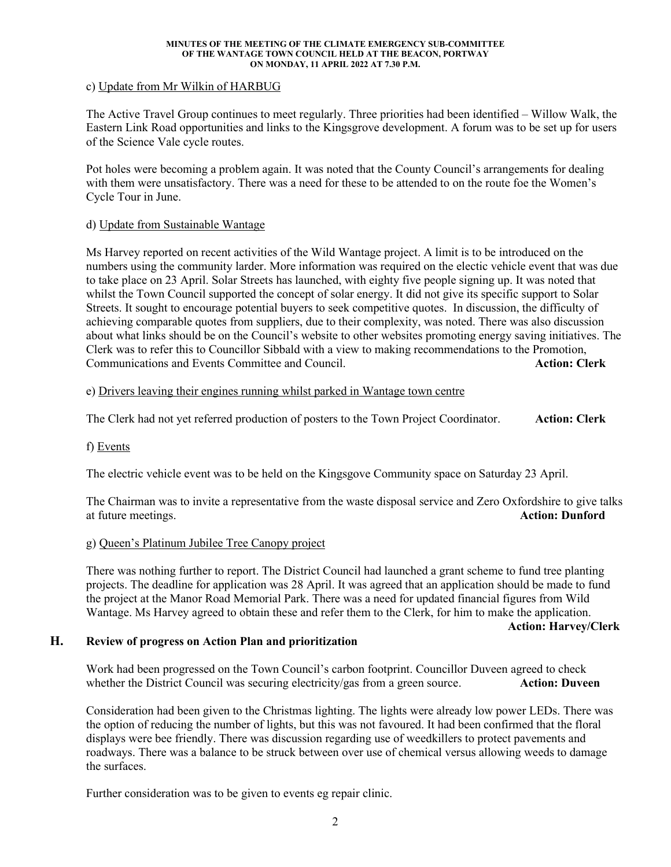#### **MINUTES OF THE MEETING OF THE CLIMATE EMERGENCY SUB-COMMITTEE OF THE WANTAGE TOWN COUNCIL HELD AT THE BEACON, PORTWAY ON MONDAY, 11 APRIL 2022 AT 7.30 P.M.**

## c) Update from Mr Wilkin of HARBUG

The Active Travel Group continues to meet regularly. Three priorities had been identified – Willow Walk, the Eastern Link Road opportunities and links to the Kingsgrove development. A forum was to be set up for users of the Science Vale cycle routes.

Pot holes were becoming a problem again. It was noted that the County Council's arrangements for dealing with them were unsatisfactory. There was a need for these to be attended to on the route foe the Women's Cycle Tour in June.

### d) Update from Sustainable Wantage

Ms Harvey reported on recent activities of the Wild Wantage project. A limit is to be introduced on the numbers using the community larder. More information was required on the electic vehicle event that was due to take place on 23 April. Solar Streets has launched, with eighty five people signing up. It was noted that whilst the Town Council supported the concept of solar energy. It did not give its specific support to Solar Streets. It sought to encourage potential buyers to seek competitive quotes. In discussion, the difficulty of achieving comparable quotes from suppliers, due to their complexity, was noted. There was also discussion about what links should be on the Council's website to other websites promoting energy saving initiatives. The Clerk was to refer this to Councillor Sibbald with a view to making recommendations to the Promotion, Communications and Events Committee and Council. **Action: Clerk**

## e) Drivers leaving their engines running whilst parked in Wantage town centre

The Clerk had not yet referred production of posters to the Town Project Coordinator. **Action: Clerk**

#### f) Events

The electric vehicle event was to be held on the Kingsgove Community space on Saturday 23 April.

The Chairman was to invite a representative from the waste disposal service and Zero Oxfordshire to give talks at future meetings. **Action: Dunford**

#### g) Queen's Platinum Jubilee Tree Canopy project

There was nothing further to report. The District Council had launched a grant scheme to fund tree planting projects. The deadline for application was 28 April. It was agreed that an application should be made to fund the project at the Manor Road Memorial Park. There was a need for updated financial figures from Wild Wantage. Ms Harvey agreed to obtain these and refer them to the Clerk, for him to make the application.

**Action: Harvey/Clerk**

# **H. Review of progress on Action Plan and prioritization**

Work had been progressed on the Town Council's carbon footprint. Councillor Duveen agreed to check whether the District Council was securing electricity/gas from a green source. **Action: Duveen** 

Consideration had been given to the Christmas lighting. The lights were already low power LEDs. There was the option of reducing the number of lights, but this was not favoured. It had been confirmed that the floral displays were bee friendly. There was discussion regarding use of weedkillers to protect pavements and roadways. There was a balance to be struck between over use of chemical versus allowing weeds to damage the surfaces.

Further consideration was to be given to events eg repair clinic.